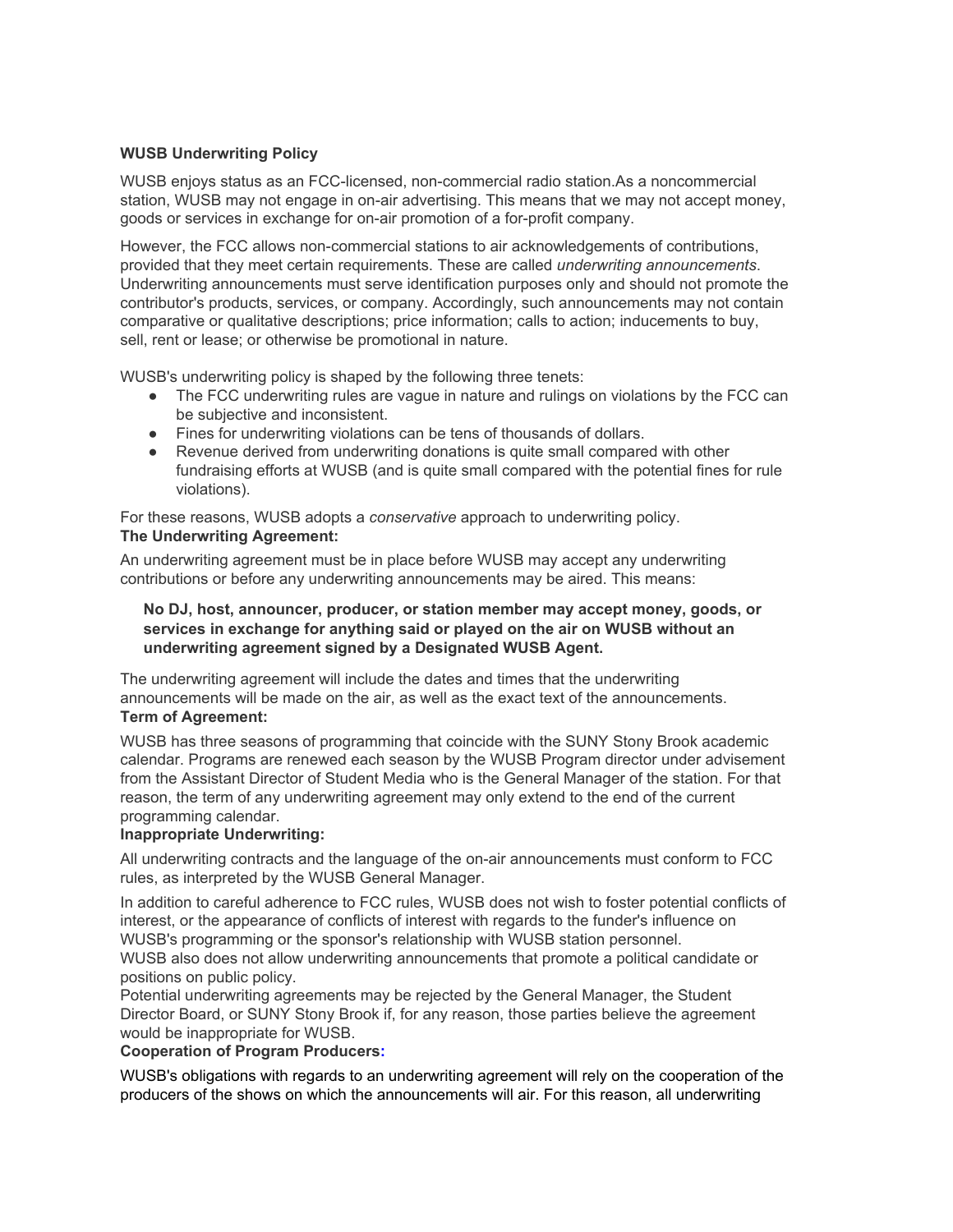## **WUSB Underwriting Policy**

WUSB enjoys status as an FCC-licensed, non-commercial radio station.As a noncommercial station, WUSB may not engage in on-air advertising. This means that we may not accept money, goods or services in exchange for on-air promotion of a for-profit company.

However, the FCC allows non-commercial stations to air acknowledgements of contributions, provided that they meet certain requirements. These are called *underwriting announcements*. Underwriting announcements must serve identification purposes only and should not promote the contributor's products, services, or company. Accordingly, such announcements may not contain comparative or qualitative descriptions; price information; calls to action; inducements to buy, sell, rent or lease; or otherwise be promotional in nature.

WUSB's underwriting policy is shaped by the following three tenets:

- The FCC underwriting rules are vague in nature and rulings on violations by the FCC can be subjective and inconsistent.
- Fines for underwriting violations can be tens of thousands of dollars.
- Revenue derived from underwriting donations is quite small compared with other fundraising efforts at WUSB (and is quite small compared with the potential fines for rule violations).

For these reasons, WUSB adopts a *conservative* approach to underwriting policy. **The Underwriting Agreement:**

An underwriting agreement must be in place before WUSB may accept any underwriting contributions or before any underwriting announcements may be aired. This means:

## **No DJ, host, announcer, producer, or station member may accept money, goods, or services in exchange for anything said or played on the air on WUSB without an underwriting agreement signed by a Designated WUSB Agent.**

The underwriting agreement will include the dates and times that the underwriting announcements will be made on the air, as well as the exact text of the announcements. **Term of Agreement:**

WUSB has three seasons of programming that coincide with the SUNY Stony Brook academic calendar. Programs are renewed each season by the WUSB Program director under advisement from the Assistant Director of Student Media who is the General Manager of the station. For that reason, the term of any underwriting agreement may only extend to the end of the current programming calendar.

# **Inappropriate Underwriting:**

All underwriting contracts and the language of the on-air announcements must conform to FCC rules, as interpreted by the WUSB General Manager.

In addition to careful adherence to FCC rules, WUSB does not wish to foster potential conflicts of interest, or the appearance of conflicts of interest with regards to the funder's influence on WUSB's programming or the sponsor's relationship with WUSB station personnel. WUSB also does not allow underwriting announcements that promote a political candidate or positions on public policy.

Potential underwriting agreements may be rejected by the General Manager, the Student Director Board, or SUNY Stony Brook if, for any reason, those parties believe the agreement would be inappropriate for WUSB.

### **Cooperation of Program Producers:**

WUSB's obligations with regards to an underwriting agreement will rely on the cooperation of the producers of the shows on which the announcements will air. For this reason, all underwriting